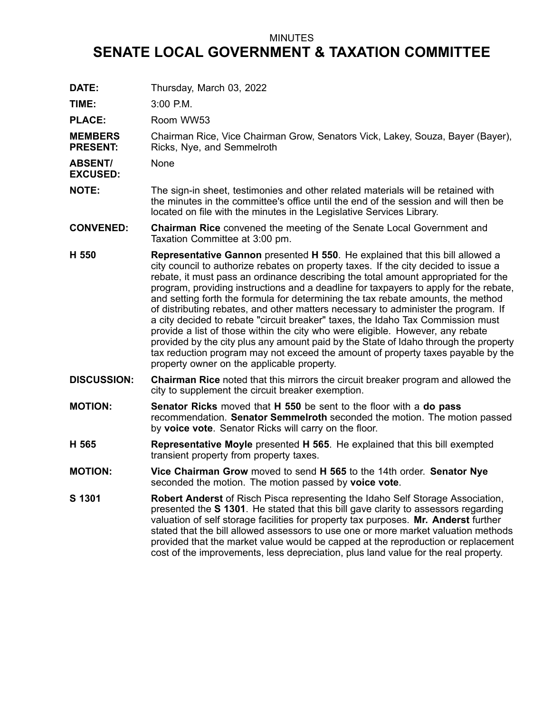## MINUTES

## **SENATE LOCAL GOVERNMENT & TAXATION COMMITTEE**

**DATE:** Thursday, March 03, 2022

- **TIME:** 3:00 P.M. **PLACE:** Room WW53 **MEMBERS PRESENT:** Chairman Rice, Vice Chairman Grow, Senators Vick, Lakey, Souza, Bayer (Bayer), Ricks, Nye, and Semmelroth **ABSENT/ EXCUSED:** None **NOTE:** The sign-in sheet, testimonies and other related materials will be retained with the minutes in the committee's office until the end of the session and will then be located on file with the minutes in the Legislative Services Library. **CONVENED: Chairman Rice** convened the meeting of the Senate Local Government and Taxation Committee at 3:00 pm. **H 550 Representative Gannon** presented **H 550**. He explained that this bill allowed <sup>a</sup> city council to authorize rebates on property taxes. If the city decided to issue <sup>a</sup> rebate, it must pass an ordinance describing the total amount appropriated for the program, providing instructions and <sup>a</sup> deadline for taxpayers to apply for the rebate, and setting forth the formula for determining the tax rebate amounts, the method of distributing rebates, and other matters necessary to administer the program. If <sup>a</sup> city decided to rebate "circuit breaker" taxes, the Idaho Tax Commission must provide <sup>a</sup> list of those within the city who were eligible. However, any rebate provided by the city plus any amount paid by the State of Idaho through the property tax reduction program may not exceed the amount of property taxes payable by the property owner on the applicable property. **DISCUSSION: Chairman Rice** noted that this mirrors the circuit breaker program and allowed the city to supplement the circuit breaker exemption. **MOTION: Senator Ricks** moved that **H 550** be sent to the floor with <sup>a</sup> **do pass** recommendation. **Senator Semmelroth** seconded the motion. The motion passed by **voice vote**. Senator Ricks will carry on the floor. **H 565 Representative Moyle** presented **H 565**. He explained that this bill exempted transient property from property taxes. **MOTION: Vice Chairman Grow** moved to send **H 565** to the 14th order. **Senator Nye** seconded the motion. The motion passed by **voice vote**. **S 1301 Robert Anderst** of Risch Pisca representing the Idaho Self Storage Association,
	- presented the **S 1301**. He stated that this bill gave clarity to assessors regarding valuation of self storage facilities for property tax purposes. **Mr. Anderst** further stated that the bill allowed assessors to use one or more market valuation methods provided that the market value would be capped at the reproduction or replacement cost of the improvements, less depreciation, plus land value for the real property.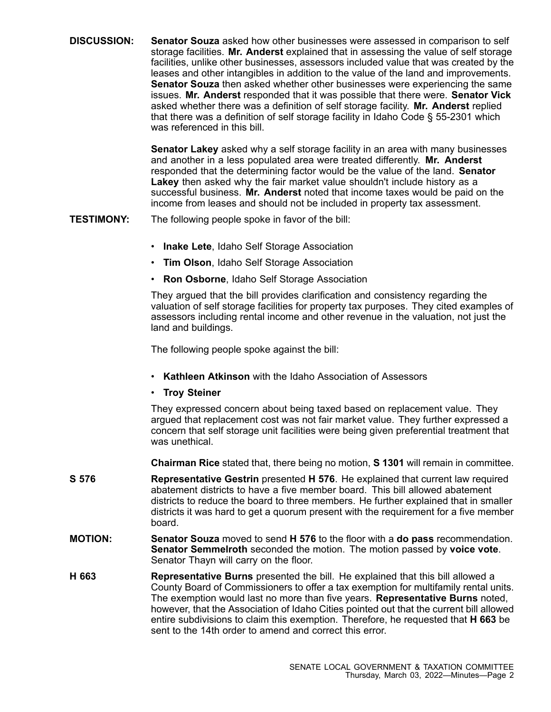**DISCUSSION: Senator Souza** asked how other businesses were assessed in comparison to self storage facilities. **Mr. Anderst** explained that in assessing the value of self storage facilities, unlike other businesses, assessors included value that was created by the leases and other intangibles in addition to the value of the land and improvements. **Senator Souza** then asked whether other businesses were experiencing the same issues. **Mr. Anderst** responded that it was possible that there were. **Senator Vick** asked whether there was <sup>a</sup> definition of self storage facility. **Mr. Anderst** replied that there was <sup>a</sup> definition of self storage facility in Idaho Code § 55-2301 which was referenced in this bill.

> **Senator Lakey** asked why <sup>a</sup> self storage facility in an area with many businesses and another in <sup>a</sup> less populated area were treated differently. **Mr. Anderst** responded that the determining factor would be the value of the land. **Senator Lakey** then asked why the fair market value shouldn't include history as <sup>a</sup> successful business. **Mr. Anderst** noted that income taxes would be paid on the income from leases and should not be included in property tax assessment.

**TESTIMONY:** The following people spoke in favor of the bill:

- **Inake Lete**, Idaho Self Storage Association
- **Tim Olson**, Idaho Self Storage Association
- **Ron Osborne**, Idaho Self Storage Association

They argued that the bill provides clarification and consistency regarding the valuation of self storage facilities for property tax purposes. They cited examples of assessors including rental income and other revenue in the valuation, not just the land and buildings.

The following people spoke against the bill:

- **Kathleen Atkinson** with the Idaho Association of Assessors
- •**Troy Steiner**

They expressed concern about being taxed based on replacement value. They argued that replacement cost was not fair market value. They further expressed <sup>a</sup> concern that self storage unit facilities were being given preferential treatment that was unethical.

**Chairman Rice** stated that, there being no motion, **S 1301** will remain in committee.

- **S 576 Representative Gestrin** presented **H 576**. He explained that current law required abatement districts to have a five member board. This bill allowed abatement districts to reduce the board to three members. He further explained that in smaller districts it was hard to get <sup>a</sup> quorum present with the requirement for <sup>a</sup> five member board.
- **MOTION: Senator Souza** moved to send **H 576** to the floor with <sup>a</sup> **do pass** recommendation. **Senator Semmelroth** seconded the motion. The motion passed by **voice vote**. Senator Thayn will carry on the floor.
- **H 663 Representative Burns** presented the bill. He explained that this bill allowed <sup>a</sup> County Board of Commissioners to offer <sup>a</sup> tax exemption for multifamily rental units. The exemption would last no more than five years. **Representative Burns** noted, however, that the Association of Idaho Cities pointed out that the current bill allowed entire subdivisions to claim this exemption. Therefore, he requested that **H 663** be sent to the 14th order to amend and correct this error.